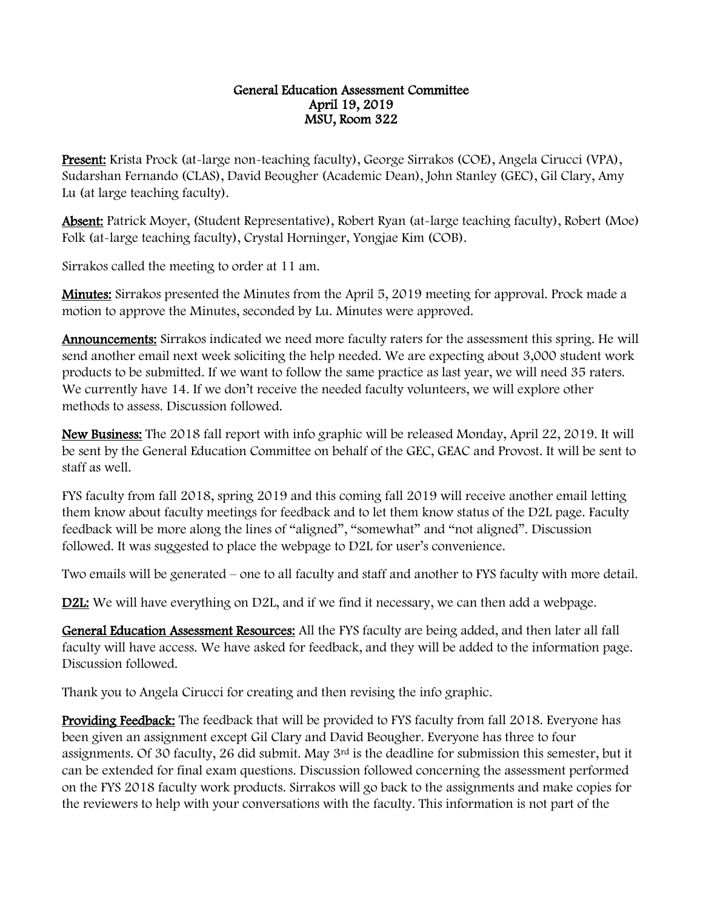## General Education Assessment Committee April 19, 2019 MSU, Room 322

Present: Krista Prock (at-large non-teaching faculty), George Sirrakos (COE), Angela Cirucci (VPA), Sudarshan Fernando (CLAS), David Beougher (Academic Dean), John Stanley (GEC), Gil Clary, Amy Lu (at large teaching faculty).

Absent: Patrick Moyer, (Student Representative), Robert Ryan (at-large teaching faculty), Robert (Moe) Folk (at-large teaching faculty), Crystal Horninger, Yongjae Kim (COB).

Sirrakos called the meeting to order at 11 am.

Minutes: Sirrakos presented the Minutes from the April 5, 2019 meeting for approval. Prock made a motion to approve the Minutes, seconded by Lu. Minutes were approved.

Announcements: Sirrakos indicated we need more faculty raters for the assessment this spring. He will send another email next week soliciting the help needed. We are expecting about 3,000 student work products to be submitted. If we want to follow the same practice as last year, we will need 35 raters. We currently have 14. If we don't receive the needed faculty volunteers, we will explore other methods to assess. Discussion followed.

New Business: The 2018 fall report with info graphic will be released Monday, April 22, 2019. It will be sent by the General Education Committee on behalf of the GEC, GEAC and Provost. It will be sent to staff as well.

FYS faculty from fall 2018, spring 2019 and this coming fall 2019 will receive another email letting them know about faculty meetings for feedback and to let them know status of the D2L page. Faculty feedback will be more along the lines of "aligned", "somewhat" and "not aligned". Discussion followed. It was suggested to place the webpage to D2L for user's convenience.

Two emails will be generated – one to all faculty and staff and another to FYS faculty with more detail.

D2L: We will have everything on D2L, and if we find it necessary, we can then add a webpage.

General Education Assessment Resources: All the FYS faculty are being added, and then later all fall faculty will have access. We have asked for feedback, and they will be added to the information page. Discussion followed.

Thank you to Angela Cirucci for creating and then revising the info graphic.

Providing Feedback: The feedback that will be provided to FYS faculty from fall 2018. Everyone has been given an assignment except Gil Clary and David Beougher. Everyone has three to four assignments. Of 30 faculty, 26 did submit. May 3rd is the deadline for submission this semester, but it can be extended for final exam questions. Discussion followed concerning the assessment performed on the FYS 2018 faculty work products. Sirrakos will go back to the assignments and make copies for the reviewers to help with your conversations with the faculty. This information is not part of the